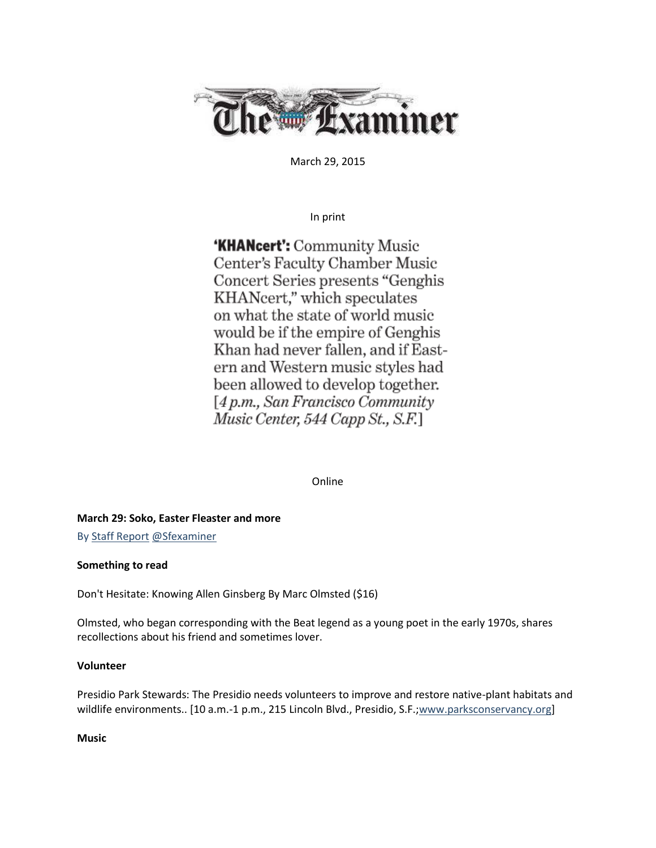

March 29, 2015

In print

**'KHANcert': Community Music** Center's Faculty Chamber Music Concert Series presents "Genghis KHANcert," which speculates on what the state of world music would be if the empire of Genghis Khan had never fallen, and if Eastern and Western music styles had been allowed to develop together. [4 p.m., San Francisco Community Music Center, 544 Capp St., S.F.]

Online

**March 29: Soko, Easter Fleaster and more** 

B[y Staff Report](http://www.sfexaminer.com/sanfrancisco/ArticleArchives?author=2124814) [@Sfexaminer](https://twitter.com/sfexaminer)

## **Something to read**

Don't Hesitate: Knowing Allen Ginsberg By Marc Olmsted (\$16)

Olmsted, who began corresponding with the Beat legend as a young poet in the early 1970s, shares recollections about his friend and sometimes lover.

## **Volunteer**

Presidio Park Stewards: The Presidio needs volunteers to improve and restore native-plant habitats and wildlife environments.. [10 a.m.-1 p.m., 215 Lincoln Blvd., Presidio, S.F.[;www.parksconservancy.org\]](http://www.parksconservancy.org/)

**Music**